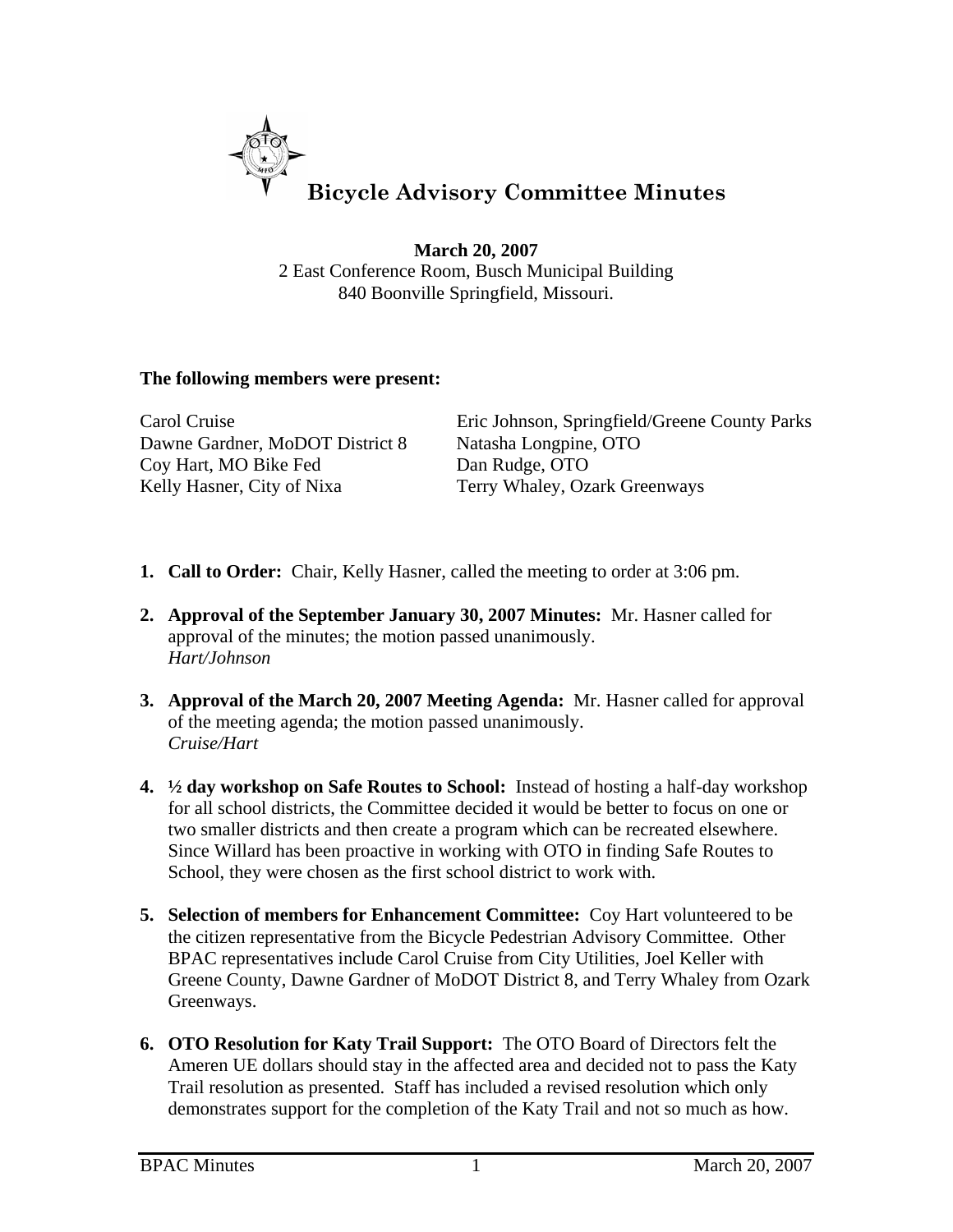

**March 20, 2007** 2 East Conference Room, Busch Municipal Building 840 Boonville Springfield, Missouri.

## **The following members were present:**

| Carol Cruise                    | Eric Johnson, Springfield/Greene County Parks |
|---------------------------------|-----------------------------------------------|
| Dawne Gardner, MoDOT District 8 | Natasha Longpine, OTO                         |
| Coy Hart, MO Bike Fed           | Dan Rudge, OTO                                |
| Kelly Hasner, City of Nixa      | Terry Whaley, Ozark Greenways                 |

- **1. Call to Order:** Chair, Kelly Hasner, called the meeting to order at 3:06 pm.
- **2. Approval of the September January 30, 2007 Minutes:** Mr. Hasner called for approval of the minutes; the motion passed unanimously. *Hart/Johnson*
- **3. Approval of the March 20, 2007 Meeting Agenda:** Mr. Hasner called for approval of the meeting agenda; the motion passed unanimously. *Cruise/Hart*
- **4. ½ day workshop on Safe Routes to School:** Instead of hosting a half-day workshop for all school districts, the Committee decided it would be better to focus on one or two smaller districts and then create a program which can be recreated elsewhere. Since Willard has been proactive in working with OTO in finding Safe Routes to School, they were chosen as the first school district to work with.
- **5. Selection of members for Enhancement Committee:** Coy Hart volunteered to be the citizen representative from the Bicycle Pedestrian Advisory Committee. Other BPAC representatives include Carol Cruise from City Utilities, Joel Keller with Greene County, Dawne Gardner of MoDOT District 8, and Terry Whaley from Ozark Greenways.
- **6. OTO Resolution for Katy Trail Support:** The OTO Board of Directors felt the Ameren UE dollars should stay in the affected area and decided not to pass the Katy Trail resolution as presented. Staff has included a revised resolution which only demonstrates support for the completion of the Katy Trail and not so much as how.